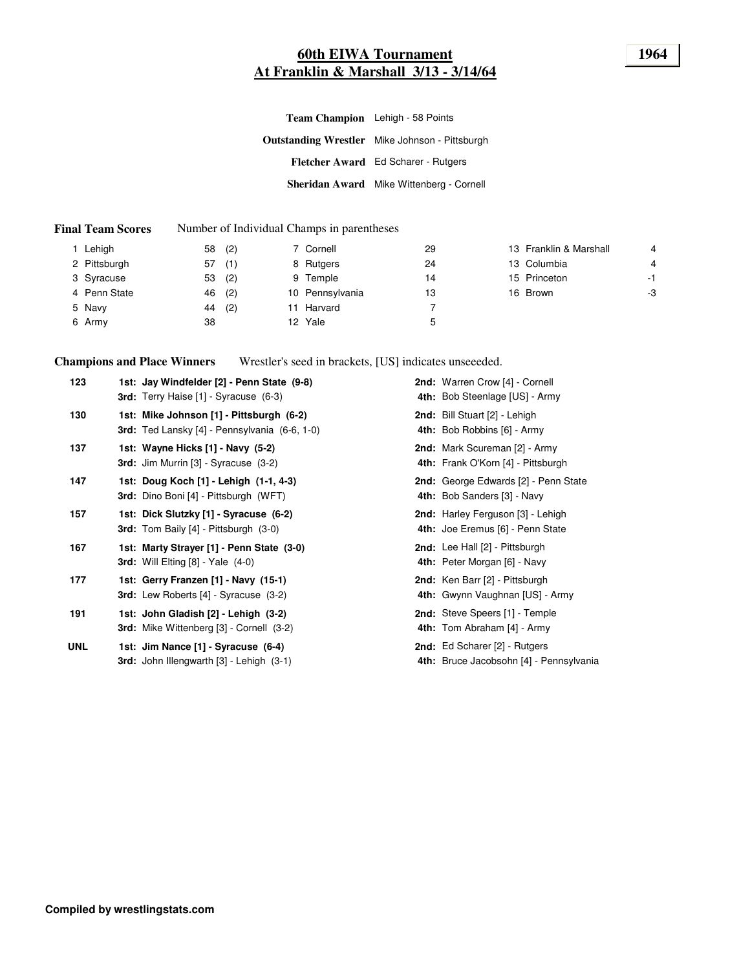# **60th EIWA Tournament 1964 At Franklin & Marshall 3/13 - 3/14/64**

| Team Champion Lehigh - 58 Points                      |  |
|-------------------------------------------------------|--|
| <b>Outstanding Wrestler</b> Mike Johnson - Pittsburgh |  |
| Fletcher Award Ed Scharer - Rutgers                   |  |
| <b>Sheridan Award</b> Mike Wittenberg - Cornell       |  |

#### **Final Team Scores** Number of Individual Champs in parentheses

| Lehigh       | 58 | (2) | 7 Cornell       | 29 | 13 Franklin & Marshall | $\overline{4}$ |
|--------------|----|-----|-----------------|----|------------------------|----------------|
| 2 Pittsburgh | 57 | (1) | 8 Rutgers       | 24 | 13 Columbia            | 4              |
| 3 Syracuse   | 53 | (2) | 9 Temple        | 14 | 15 Princeton           | $-1$           |
| 4 Penn State | 46 | (2) | 10 Pennsylvania | 13 | 16 Brown               | -3             |
| 5 Navy       | 44 | (2) | 11 Harvard      |    |                        |                |
| 6 Army       | 38 |     | 12 Yale         | 5  |                        |                |

**Champions and Place Winners** Wrestler's seed in brackets, [US] indicates unseeeded.

| 123        | 1st: Jay Windfelder [2] - Penn State (9-8)<br>3rd: Terry Haise [1] - Syracuse (6-3)       | 2nd: Warren Crow [4] - Cornell<br>4th: Bob Steenlage [US] - Army         |
|------------|-------------------------------------------------------------------------------------------|--------------------------------------------------------------------------|
| 130        | 1st: Mike Johnson [1] - Pittsburgh (6-2)<br>3rd: Ted Lansky [4] - Pennsylvania (6-6, 1-0) | 2nd: Bill Stuart [2] - Lehigh<br>4th: Bob Robbins [6] - Army             |
| 137        | 1st: Wayne Hicks [1] - Navy (5-2)<br><b>3rd:</b> Jim Murrin $[3]$ - Syracuse $(3-2)$      | 2nd: Mark Scureman [2] - Army<br>4th: Frank O'Korn [4] - Pittsburgh      |
| 147        | 1st: Doug Koch [1] - Lehigh (1-1, 4-3)<br>3rd: Dino Boni [4] - Pittsburgh (WFT)           | 2nd: George Edwards [2] - Penn State<br>4th: Bob Sanders [3] - Navy      |
| 157        | 1st: Dick Slutzky [1] - Syracuse (6-2)<br>3rd: Tom Baily [4] - Pittsburgh (3-0)           | 2nd: Harley Ferguson [3] - Lehigh<br>4th: Joe Eremus [6] - Penn State    |
| 167        | 1st: Marty Strayer [1] - Penn State (3-0)<br><b>3rd:</b> Will Elting $[8]$ - Yale $(4-0)$ | 2nd: Lee Hall [2] - Pittsburgh<br>4th: Peter Morgan [6] - Navy           |
| 177        | 1st: Gerry Franzen [1] - Navy (15-1)<br>3rd: Lew Roberts [4] - Syracuse (3-2)             | 2nd: Ken Barr [2] - Pittsburgh<br>4th: Gwynn Vaughnan [US] - Army        |
| 191        | 1st: John Gladish [2] - Lehigh (3-2)<br><b>3rd:</b> Mike Wittenberg [3] - Cornell (3-2)   | 2nd: Steve Speers [1] - Temple<br>4th: Tom Abraham [4] - Army            |
| <b>UNL</b> | 1st: Jim Nance [1] - Syracuse (6-4)<br>3rd: John Illengwarth [3] - Lehigh (3-1)           | 2nd: Ed Scharer [2] - Rutgers<br>4th: Bruce Jacobsohn [4] - Pennsylvania |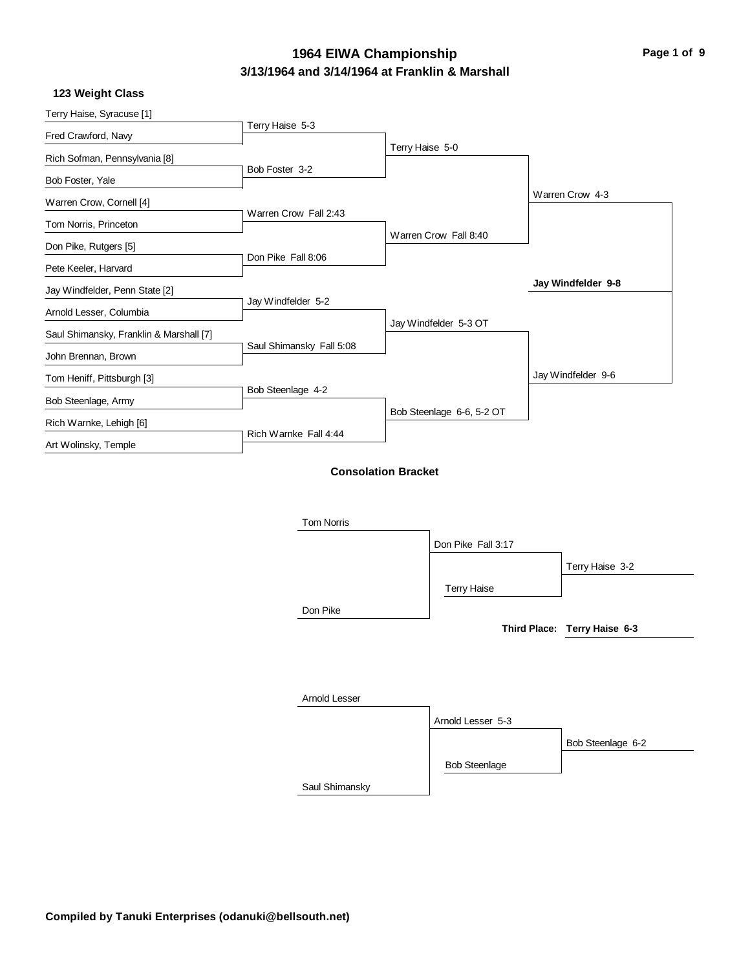# **3/13/1964 and 3/14/1964 at Franklin & Marshall** 1964 EIWA Championship<br> **Page 1 of 9**

|  | 123 Weight Class |  |
|--|------------------|--|
|--|------------------|--|

| Terry Haise, Syracuse [1]               |                          |                            |                    |
|-----------------------------------------|--------------------------|----------------------------|--------------------|
| Fred Crawford, Navy                     | Terry Haise 5-3          |                            |                    |
| Rich Sofman, Pennsylvania [8]           |                          | Terry Haise 5-0            |                    |
| Bob Foster, Yale                        | Bob Foster 3-2           |                            |                    |
| Warren Crow, Cornell [4]                |                          |                            | Warren Crow 4-3    |
| Tom Norris, Princeton                   | Warren Crow Fall 2:43    |                            |                    |
| Don Pike, Rutgers [5]                   |                          | Warren Crow Fall 8:40      |                    |
| Pete Keeler, Harvard                    | Don Pike Fall 8:06       |                            |                    |
| Jay Windfelder, Penn State [2]          |                          |                            | Jay Windfelder 9-8 |
| Arnold Lesser, Columbia                 | Jay Windfelder 5-2       |                            |                    |
| Saul Shimansky, Franklin & Marshall [7] |                          | Jay Windfelder 5-3 OT      |                    |
| John Brennan, Brown                     | Saul Shimansky Fall 5:08 |                            |                    |
| Tom Heniff, Pittsburgh [3]              |                          |                            | Jay Windfelder 9-6 |
| Bob Steenlage, Army                     | Bob Steenlage 4-2        |                            |                    |
| Rich Warnke, Lehigh [6]                 |                          | Bob Steenlage 6-6, 5-2 OT  |                    |
| Art Wolinsky, Temple                    | Rich Warnke Fall 4:44    |                            |                    |
|                                         |                          | <b>Consolation Bracket</b> |                    |
|                                         |                          |                            |                    |
|                                         | <b>Tom Norris</b>        |                            |                    |

|                | Don Pike Fall 3:17   |                              |
|----------------|----------------------|------------------------------|
|                |                      | Terry Haise 3-2              |
|                | <b>Terry Haise</b>   |                              |
| Don Pike       |                      |                              |
|                |                      | Third Place: Terry Haise 6-3 |
|                |                      |                              |
|                |                      |                              |
| Arnold Lesser  |                      |                              |
|                | Arnold Lesser 5-3    |                              |
|                |                      | Bob Steenlage 6-2            |
|                | <b>Bob Steenlage</b> |                              |
| Saul Shimansky |                      |                              |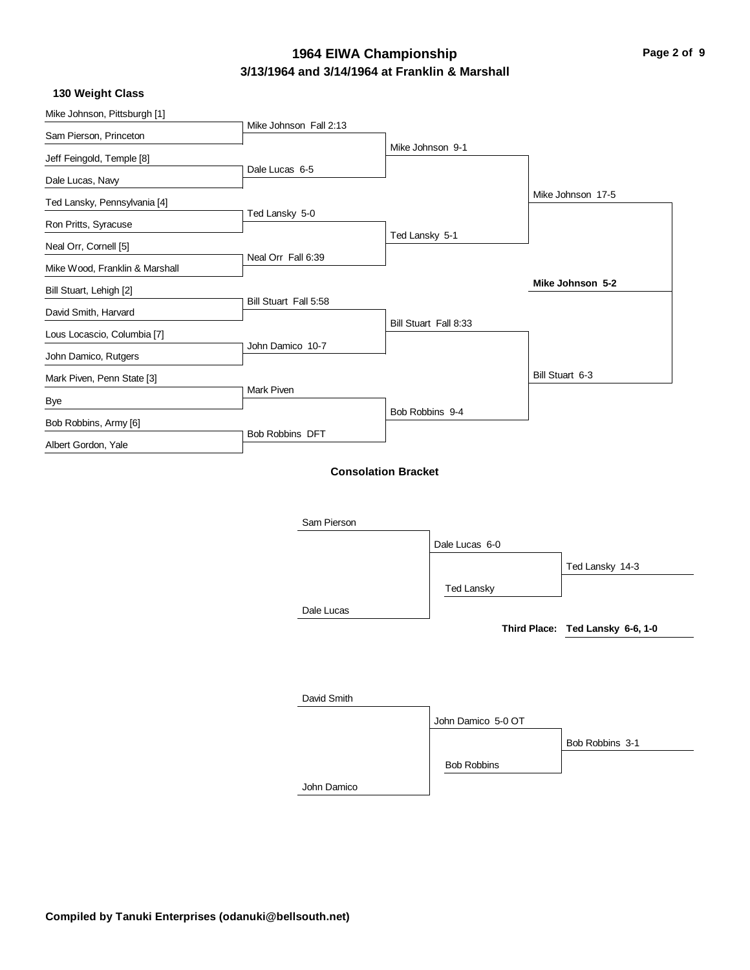# **3/13/1964 and 3/14/1964 at Franklin & Marshall** 1964 EIWA Championship<br> **Page 2 of 9**

|  | 130 Weight Class |  |
|--|------------------|--|
|--|------------------|--|

| Mike Johnson, Pittsburgh [1]   |                            |                 |                       |                                  |
|--------------------------------|----------------------------|-----------------|-----------------------|----------------------------------|
| Sam Pierson, Princeton         | Mike Johnson Fall 2:13     |                 |                       |                                  |
| Jeff Feingold, Temple [8]      |                            |                 | Mike Johnson 9-1      |                                  |
| Dale Lucas, Navy               | Dale Lucas 6-5             |                 |                       |                                  |
| Ted Lansky, Pennsylvania [4]   |                            |                 |                       | Mike Johnson 17-5                |
| Ron Pritts, Syracuse           | Ted Lansky 5-0             |                 |                       |                                  |
| Neal Orr, Cornell [5]          |                            | Ted Lansky 5-1  |                       |                                  |
| Mike Wood, Franklin & Marshall | Neal Orr Fall 6:39         |                 |                       |                                  |
| Bill Stuart, Lehigh [2]        |                            |                 |                       | Mike Johnson 5-2                 |
|                                | Bill Stuart Fall 5:58      |                 |                       |                                  |
| David Smith, Harvard           |                            |                 | Bill Stuart Fall 8:33 |                                  |
| Lous Locascio, Columbia [7]    | John Damico 10-7           |                 |                       |                                  |
| John Damico, Rutgers           |                            |                 |                       |                                  |
| Mark Piven, Penn State [3]     | Mark Piven                 |                 |                       | Bill Stuart 6-3                  |
| Bye                            |                            | Bob Robbins 9-4 |                       |                                  |
| Bob Robbins, Army [6]          |                            |                 |                       |                                  |
| Albert Gordon, Yale            | Bob Robbins DFT            |                 |                       |                                  |
|                                | <b>Consolation Bracket</b> |                 |                       |                                  |
|                                |                            |                 |                       |                                  |
|                                |                            |                 |                       |                                  |
|                                | Sam Pierson                |                 |                       |                                  |
|                                |                            |                 | Dale Lucas 6-0        |                                  |
|                                |                            |                 |                       | Ted Lansky 14-3                  |
|                                |                            |                 | <b>Ted Lansky</b>     |                                  |
|                                | Dale Lucas                 |                 |                       |                                  |
|                                |                            |                 |                       | Third Place: Ted Lansky 6-6, 1-0 |
|                                |                            |                 |                       |                                  |

| David Smith |                    |                 |
|-------------|--------------------|-----------------|
|             | John Damico 5-0 OT |                 |
|             |                    | Bob Robbins 3-1 |
|             | <b>Bob Robbins</b> |                 |
| John Damico |                    |                 |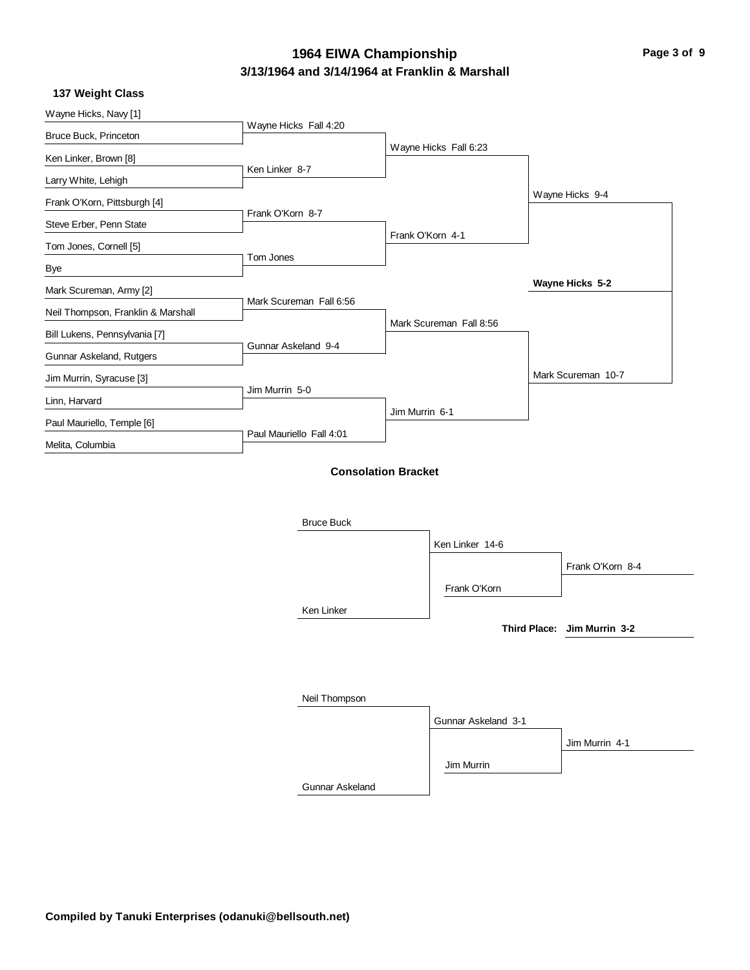# **3/13/1964 and 3/14/1964 at Franklin & Marshall 1964 EIWA Championship Page 3 of 9**

|  | 137 Weight Class |  |
|--|------------------|--|
|--|------------------|--|

| Wayne Hicks, Navy [1]                              |                            |
|----------------------------------------------------|----------------------------|
| Wayne Hicks Fall 4:20<br>Bruce Buck, Princeton     |                            |
| Ken Linker, Brown [8]                              | Wayne Hicks Fall 6:23      |
| Ken Linker 8-7<br>Larry White, Lehigh              |                            |
|                                                    | Wayne Hicks 9-4            |
| Frank O'Korn, Pittsburgh [4]<br>Frank O'Korn 8-7   |                            |
| Steve Erber, Penn State                            | Frank O'Korn 4-1           |
| Tom Jones, Cornell [5]<br>Tom Jones                |                            |
| <b>Bye</b>                                         |                            |
| Mark Scureman, Army [2]<br>Mark Scureman Fall 6:56 | Wayne Hicks 5-2            |
| Neil Thompson, Franklin & Marshall                 |                            |
| Bill Lukens, Pennsylvania [7]                      | Mark Scureman Fall 8:56    |
| Gunnar Askeland 9-4<br>Gunnar Askeland, Rutgers    |                            |
| Jim Murrin, Syracuse [3]                           | Mark Scureman 10-7         |
| Jim Murrin 5-0<br>Linn, Harvard                    |                            |
| Paul Mauriello, Temple [6]                         | Jim Murrin 6-1             |
| Paul Mauriello Fall 4:01<br>Melita, Columbia       |                            |
|                                                    |                            |
|                                                    | <b>Consolation Bracket</b> |
|                                                    |                            |
| <b>Bruce Buck</b>                                  |                            |
|                                                    | Ken Linker 14-6            |
|                                                    | Frank O'Korn 8-4           |

|               | Ken Linker 14-6     |                             |
|---------------|---------------------|-----------------------------|
|               |                     | Frank O'Korn 8-4            |
|               | Frank O'Korn        |                             |
| Ken Linker    |                     |                             |
|               |                     | Third Place: Jim Murrin 3-2 |
|               |                     |                             |
|               |                     |                             |
| Neil Thompson |                     |                             |
|               | Gunnar Askeland 3-1 |                             |
|               |                     | Jim Murrin 4-1              |
|               | Jim Murrin          |                             |

Gunnar Askeland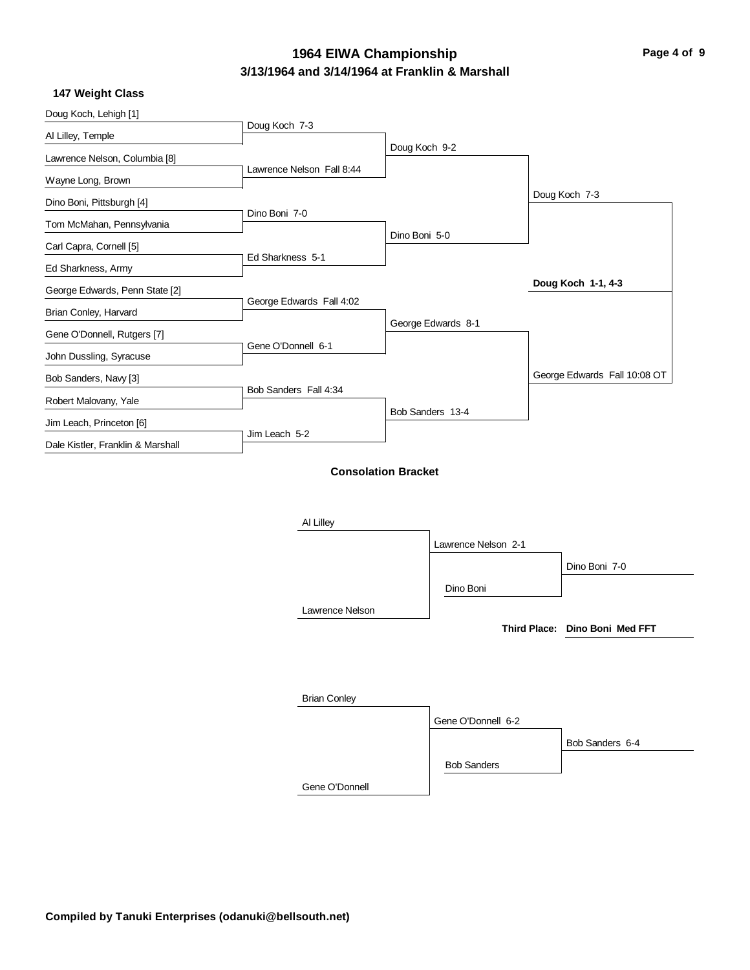$\overline{\phantom{0}}$ 

# **3/13/1964 and 3/14/1964 at Franklin & Marshall 1964 EIWA Championship Page 4 of 9**

#### **147 Weight Class**

| Doug Koch, Lehigh [1]             | Doug Koch 7-3              |               |                     |                                |
|-----------------------------------|----------------------------|---------------|---------------------|--------------------------------|
| Al Lilley, Temple                 |                            |               |                     |                                |
| Lawrence Nelson, Columbia [8]     |                            | Doug Koch 9-2 |                     |                                |
| Wayne Long, Brown                 | Lawrence Nelson Fall 8:44  |               |                     |                                |
| Dino Boni, Pittsburgh [4]         |                            |               |                     | Doug Koch 7-3                  |
| Tom McMahan, Pennsylvania         | Dino Boni 7-0              |               |                     |                                |
| Carl Capra, Cornell [5]           |                            | Dino Boni 5-0 |                     |                                |
| Ed Sharkness, Army                | Ed Sharkness 5-1           |               |                     |                                |
| George Edwards, Penn State [2]    |                            |               |                     | Doug Koch 1-1, 4-3             |
| Brian Conley, Harvard             | George Edwards Fall 4:02   |               |                     |                                |
| Gene O'Donnell, Rutgers [7]       |                            |               | George Edwards 8-1  |                                |
| John Dussling, Syracuse           | Gene O'Donnell 6-1         |               |                     |                                |
| Bob Sanders, Navy [3]             |                            |               |                     | George Edwards Fall 10:08 OT   |
| Robert Malovany, Yale             | Bob Sanders Fall 4:34      |               |                     |                                |
| Jim Leach, Princeton [6]          |                            |               | Bob Sanders 13-4    |                                |
| Dale Kistler, Franklin & Marshall | Jim Leach 5-2              |               |                     |                                |
|                                   | <b>Consolation Bracket</b> |               |                     |                                |
|                                   | Al Lilley                  |               |                     |                                |
|                                   |                            |               | Lawrence Nelson 2-1 |                                |
|                                   |                            |               |                     | Dino Boni 7-0                  |
|                                   |                            |               | Dino Boni           |                                |
|                                   | Lawrence Nelson            |               |                     |                                |
|                                   |                            |               |                     | Third Place: Dino Boni Med FFT |
|                                   |                            |               |                     |                                |
|                                   |                            |               |                     |                                |
|                                   |                            |               |                     |                                |
|                                   | <b>Brian Conley</b>        |               |                     |                                |
|                                   |                            |               | Gene O'Donnell 6-2  |                                |
|                                   |                            |               |                     | Bob Sanders 6-4                |

Gene O'Donnell

Bob Sanders

**Compiled by Tanuki Enterprises (odanuki@bellsouth.net)**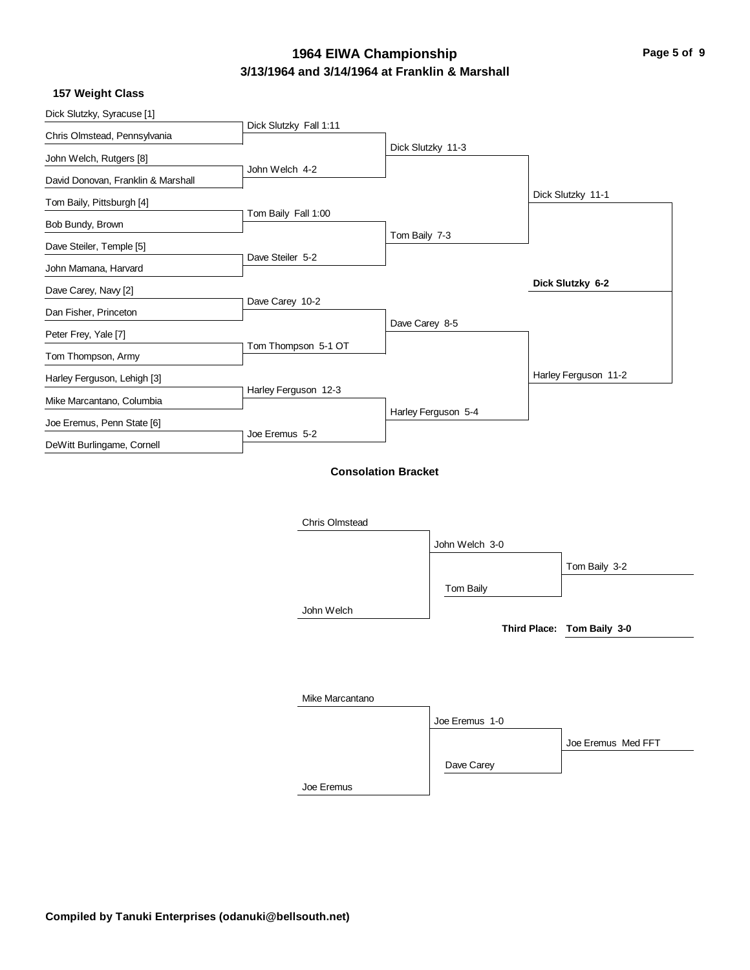# **3/13/1964 and 3/14/1964 at Franklin & Marshall 1964 EIWA Championship Page 5 of 9**

|  | 157 Weight Class |  |
|--|------------------|--|
|--|------------------|--|

| Dick Slutzky, Syracuse [1]         | Dick Slutzky Fall 1:11 |                            |                     |                            |
|------------------------------------|------------------------|----------------------------|---------------------|----------------------------|
| Chris Olmstead, Pennsylvania       |                        |                            |                     |                            |
| John Welch, Rutgers [8]            |                        | Dick Slutzky 11-3          |                     |                            |
| David Donovan, Franklin & Marshall | John Welch 4-2         |                            |                     |                            |
| Tom Baily, Pittsburgh [4]          |                        |                            |                     | Dick Slutzky 11-1          |
| Bob Bundy, Brown                   | Tom Baily Fall 1:00    |                            |                     |                            |
| Dave Steiler, Temple [5]           |                        | Tom Baily 7-3              |                     |                            |
| John Mamana, Harvard               | Dave Steiler 5-2       |                            |                     |                            |
|                                    |                        |                            |                     | Dick Slutzky 6-2           |
| Dave Carey, Navy [2]               | Dave Carey 10-2        |                            |                     |                            |
| Dan Fisher, Princeton              |                        | Dave Carey 8-5             |                     |                            |
| Peter Frey, Yale [7]               | Tom Thompson 5-1 OT    |                            |                     |                            |
| Tom Thompson, Army                 |                        |                            |                     |                            |
| Harley Ferguson, Lehigh [3]        | Harley Ferguson 12-3   |                            |                     | Harley Ferguson 11-2       |
| Mike Marcantano, Columbia          |                        |                            | Harley Ferguson 5-4 |                            |
| Joe Eremus, Penn State [6]         |                        |                            |                     |                            |
| DeWitt Burlingame, Cornell         | Joe Eremus 5-2         |                            |                     |                            |
|                                    |                        | <b>Consolation Bracket</b> |                     |                            |
|                                    |                        |                            |                     |                            |
|                                    |                        |                            |                     |                            |
|                                    | Chris Olmstead         |                            |                     |                            |
|                                    |                        |                            | John Welch 3-0      |                            |
|                                    |                        |                            |                     | Tom Baily 3-2              |
|                                    |                        |                            | Tom Baily           |                            |
|                                    | John Welch             |                            |                     |                            |
|                                    |                        |                            |                     | Third Place: Tom Baily 3-0 |
|                                    |                        |                            |                     |                            |
|                                    |                        |                            |                     |                            |
|                                    |                        |                            |                     |                            |
|                                    | Mike Marcantano        |                            |                     |                            |

|            | Joe Eremus 1-0 |                    |
|------------|----------------|--------------------|
|            |                | Joe Eremus Med FFT |
|            | Dave Carey     |                    |
| Joe Eremus |                |                    |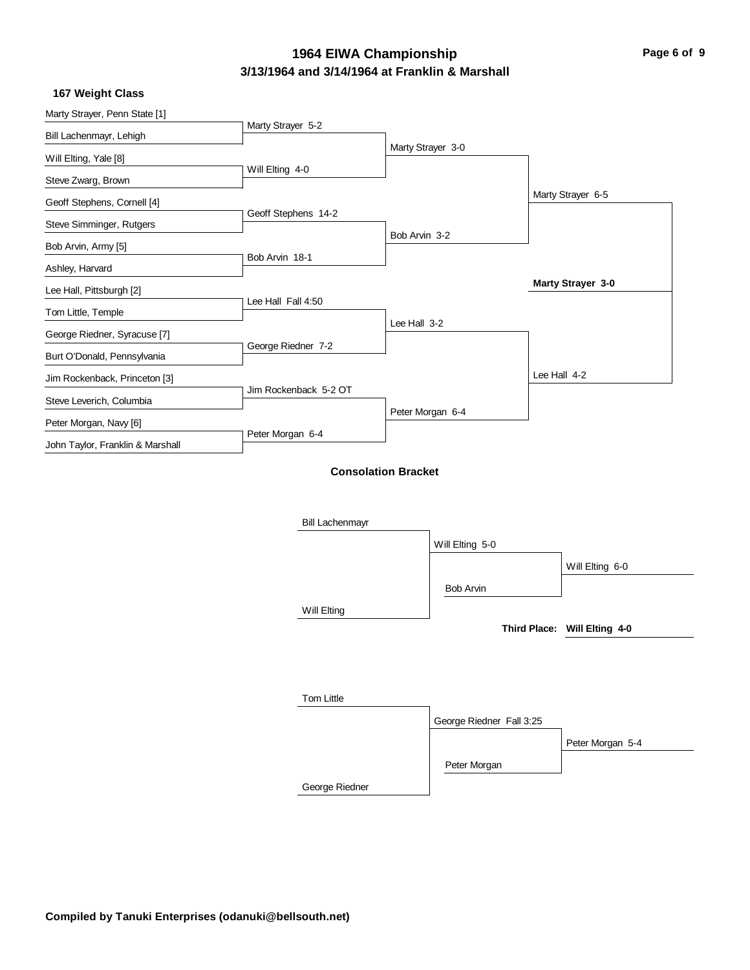# **3/13/1964 and 3/14/1964 at Franklin & Marshall 1964 EIWA Championship Page 6 of 9**

|  | 167 Weight Class |  |
|--|------------------|--|
|--|------------------|--|

| TUT WEIGHT CLASS                 |                        |                            |                          |              |                              |
|----------------------------------|------------------------|----------------------------|--------------------------|--------------|------------------------------|
| Marty Strayer, Penn State [1]    |                        |                            |                          |              |                              |
| Bill Lachenmayr, Lehigh          | Marty Strayer 5-2      |                            |                          |              |                              |
| Will Elting, Yale [8]            |                        |                            | Marty Strayer 3-0        |              |                              |
| Steve Zwarg, Brown               | Will Elting 4-0        |                            |                          |              |                              |
| Geoff Stephens, Cornell [4]      |                        |                            |                          |              | Marty Strayer 6-5            |
| Steve Simminger, Rutgers         | Geoff Stephens 14-2    |                            |                          |              |                              |
| Bob Arvin, Army [5]              |                        | Bob Arvin 3-2              |                          |              |                              |
| Ashley, Harvard                  | Bob Arvin 18-1         |                            |                          |              |                              |
| Lee Hall, Pittsburgh [2]         |                        |                            |                          |              | Marty Strayer 3-0            |
| Tom Little, Temple               | Lee Hall Fall 4:50     |                            |                          |              |                              |
| George Riedner, Syracuse [7]     |                        | Lee Hall 3-2               |                          |              |                              |
| Burt O'Donald, Pennsylvania      | George Riedner 7-2     |                            |                          |              |                              |
| Jim Rockenback, Princeton [3]    |                        |                            |                          | Lee Hall 4-2 |                              |
| Steve Leverich, Columbia         | Jim Rockenback 5-2 OT  |                            |                          |              |                              |
| Peter Morgan, Navy [6]           |                        |                            | Peter Morgan 6-4         |              |                              |
| John Taylor, Franklin & Marshall | Peter Morgan 6-4       |                            |                          |              |                              |
|                                  |                        | <b>Consolation Bracket</b> |                          |              |                              |
|                                  | <b>Bill Lachenmayr</b> |                            |                          |              |                              |
|                                  |                        |                            | Will Elting 5-0          |              |                              |
|                                  |                        |                            |                          |              | Will Elting 6-0              |
|                                  |                        |                            | <b>Bob Arvin</b>         |              |                              |
|                                  | Will Elting            |                            |                          |              |                              |
|                                  |                        |                            |                          |              | Third Place: Will Elting 4-0 |
|                                  |                        |                            |                          |              |                              |
|                                  |                        |                            |                          |              |                              |
|                                  | Tom Little             |                            |                          |              |                              |
|                                  |                        |                            | George Riedner Fall 3:25 |              |                              |
|                                  |                        |                            |                          |              | Peter Morgan 5-4             |
|                                  |                        |                            | Peter Morgan             |              |                              |
|                                  |                        |                            |                          |              |                              |

George Riedner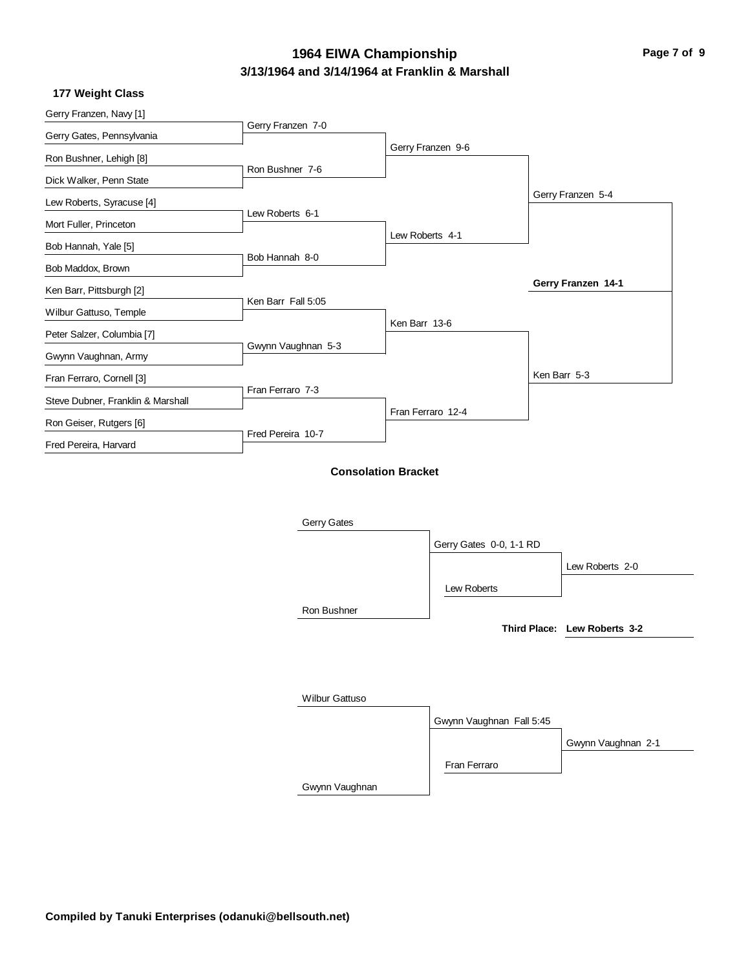# **3/13/1964 and 3/14/1964 at Franklin & Marshall 1964 EIWA Championship Page 7 of 9**

#### **177 Weight Class**

| Gerry Franzen, Navy [1]           |                    |                            |                         |                    |
|-----------------------------------|--------------------|----------------------------|-------------------------|--------------------|
| Gerry Gates, Pennsylvania         | Gerry Franzen 7-0  |                            |                         |                    |
| Ron Bushner, Lehigh [8]           |                    |                            | Gerry Franzen 9-6       |                    |
| Dick Walker, Penn State           | Ron Bushner 7-6    |                            |                         |                    |
|                                   |                    |                            |                         | Gerry Franzen 5-4  |
| Lew Roberts, Syracuse [4]         | Lew Roberts 6-1    |                            |                         |                    |
| Mort Fuller, Princeton            |                    | Lew Roberts 4-1            |                         |                    |
| Bob Hannah, Yale [5]              | Bob Hannah 8-0     |                            |                         |                    |
| Bob Maddox, Brown                 |                    |                            |                         |                    |
| Ken Barr, Pittsburgh [2]          | Ken Barr Fall 5:05 |                            |                         | Gerry Franzen 14-1 |
| Wilbur Gattuso, Temple            |                    |                            |                         |                    |
| Peter Salzer, Columbia [7]        |                    | Ken Barr 13-6              |                         |                    |
| Gwynn Vaughnan, Army              | Gwynn Vaughnan 5-3 |                            |                         |                    |
| Fran Ferraro, Cornell [3]         |                    |                            |                         | Ken Barr 5-3       |
| Steve Dubner, Franklin & Marshall | Fran Ferraro 7-3   |                            |                         |                    |
|                                   |                    |                            | Fran Ferraro 12-4       |                    |
| Ron Geiser, Rutgers [6]           | Fred Pereira 10-7  |                            |                         |                    |
| Fred Pereira, Harvard             |                    |                            |                         |                    |
|                                   |                    | <b>Consolation Bracket</b> |                         |                    |
|                                   |                    |                            |                         |                    |
|                                   | Gerry Gates        |                            |                         |                    |
|                                   |                    |                            |                         |                    |
|                                   |                    |                            | Gerry Gates 0-0, 1-1 RD |                    |
|                                   |                    |                            |                         | Lew Roberts 2-0    |

Ron Bushner

Lew Roberts

**Third Place: Lew Roberts 3-2**

| <b>Wilbur Gattuso</b> |                          |                    |
|-----------------------|--------------------------|--------------------|
|                       | Gwynn Vaughnan Fall 5:45 |                    |
|                       |                          | Gwynn Vaughnan 2-1 |
|                       | Fran Ferraro             |                    |
| Gwynn Vaughnan        |                          |                    |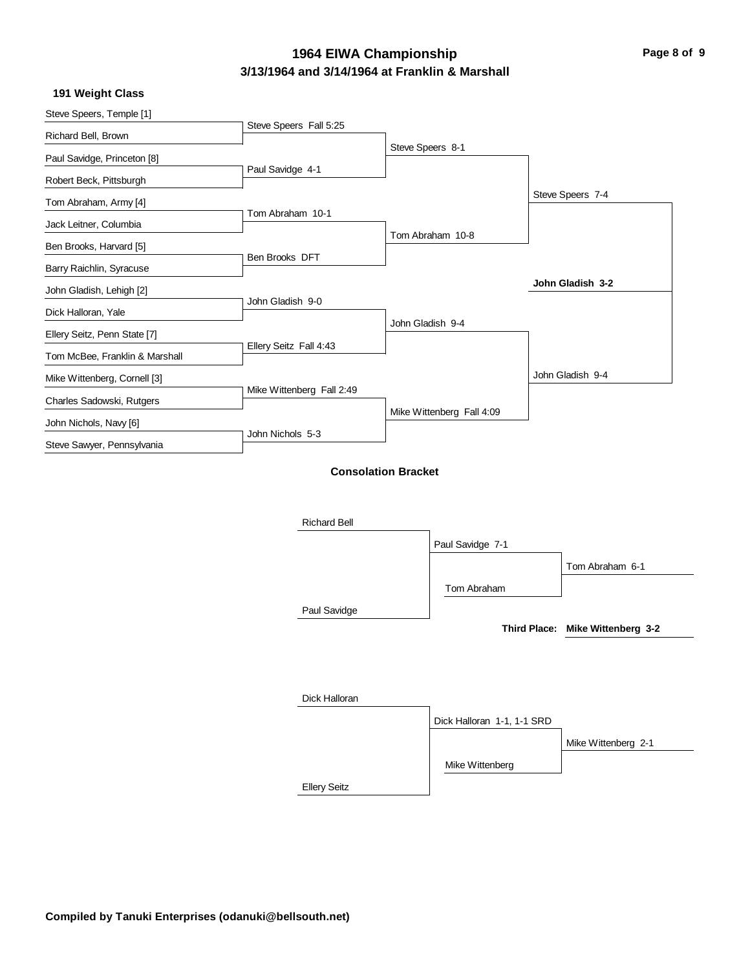# **3/13/1964 and 3/14/1964 at Franklin & Marshall 1964 EIWA Championship Page 8 of 9**

|  | 191 Weight Class |  |
|--|------------------|--|
|--|------------------|--|

| Steve Speers, Temple [1]       | Steve Speers Fall 5:25     |                  |                            |                                  |
|--------------------------------|----------------------------|------------------|----------------------------|----------------------------------|
| Richard Bell, Brown            |                            | Steve Speers 8-1 |                            |                                  |
| Paul Savidge, Princeton [8]    |                            |                  |                            |                                  |
| Robert Beck, Pittsburgh        | Paul Savidge 4-1           |                  |                            |                                  |
| Tom Abraham, Army [4]          |                            |                  |                            | Steve Speers 7-4                 |
| Jack Leitner, Columbia         | Tom Abraham 10-1           |                  |                            |                                  |
| Ben Brooks, Harvard [5]        |                            |                  | Tom Abraham 10-8           |                                  |
| Barry Raichlin, Syracuse       | Ben Brooks DFT             |                  |                            |                                  |
| John Gladish, Lehigh [2]       |                            |                  |                            | John Gladish 3-2                 |
| Dick Halloran, Yale            | John Gladish 9-0           |                  |                            |                                  |
|                                |                            | John Gladish 9-4 |                            |                                  |
| Ellery Seitz, Penn State [7]   | Ellery Seitz Fall 4:43     |                  |                            |                                  |
| Tom McBee, Franklin & Marshall |                            |                  |                            | John Gladish 9-4                 |
| Mike Wittenberg, Cornell [3]   | Mike Wittenberg Fall 2:49  |                  |                            |                                  |
| Charles Sadowski, Rutgers      |                            |                  | Mike Wittenberg Fall 4:09  |                                  |
| John Nichols, Navy [6]         | John Nichols 5-3           |                  |                            |                                  |
| Steve Sawyer, Pennsylvania     |                            |                  |                            |                                  |
|                                | <b>Consolation Bracket</b> |                  |                            |                                  |
|                                |                            |                  |                            |                                  |
|                                |                            |                  |                            |                                  |
|                                | <b>Richard Bell</b>        |                  |                            |                                  |
|                                |                            |                  | Paul Savidge 7-1           |                                  |
|                                |                            |                  |                            | Tom Abraham 6-1                  |
|                                |                            |                  | Tom Abraham                |                                  |
|                                | Paul Savidge               |                  |                            |                                  |
|                                |                            |                  |                            | Third Place: Mike Wittenberg 3-2 |
|                                |                            |                  |                            |                                  |
|                                |                            |                  |                            |                                  |
|                                | Dick Halloran              |                  |                            |                                  |
|                                |                            |                  |                            |                                  |
|                                |                            |                  | Dick Halloran 1-1, 1-1 SRD |                                  |

Mike Wittenberg 2-1

Mike Wittenberg

Ellery Seitz